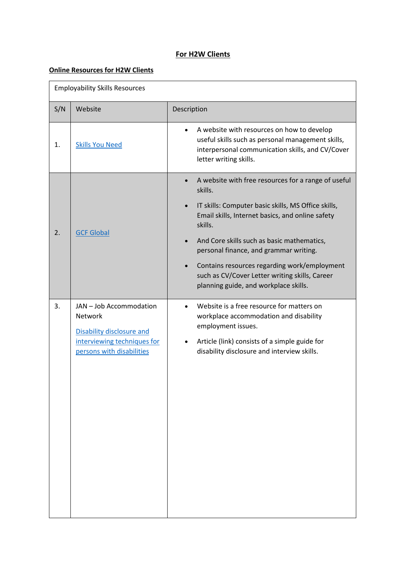## **For H2W Clients**

## **Online Resources for H2W Clients**

| <b>Employability Skills Resources</b> |                                                                                                                                    |                                                                                                                                                                                                                                                                                                                                                                                                                                                                |  |
|---------------------------------------|------------------------------------------------------------------------------------------------------------------------------------|----------------------------------------------------------------------------------------------------------------------------------------------------------------------------------------------------------------------------------------------------------------------------------------------------------------------------------------------------------------------------------------------------------------------------------------------------------------|--|
| S/N                                   | Website                                                                                                                            | Description                                                                                                                                                                                                                                                                                                                                                                                                                                                    |  |
| 1.                                    | <b>Skills You Need</b>                                                                                                             | A website with resources on how to develop<br>$\bullet$<br>useful skills such as personal management skills,<br>interpersonal communication skills, and CV/Cover<br>letter writing skills.                                                                                                                                                                                                                                                                     |  |
| 2.                                    | <b>GCF Global</b>                                                                                                                  | A website with free resources for a range of useful<br>skills.<br>IT skills: Computer basic skills, MS Office skills,<br>$\bullet$<br>Email skills, Internet basics, and online safety<br>skills.<br>And Core skills such as basic mathematics,<br>$\bullet$<br>personal finance, and grammar writing.<br>Contains resources regarding work/employment<br>$\bullet$<br>such as CV/Cover Letter writing skills, Career<br>planning guide, and workplace skills. |  |
| 3.                                    | JAN - Job Accommodation<br><b>Network</b><br>Disability disclosure and<br>interviewing techniques for<br>persons with disabilities | Website is a free resource for matters on<br>$\bullet$<br>workplace accommodation and disability<br>employment issues.<br>Article (link) consists of a simple guide for<br>$\bullet$<br>disability disclosure and interview skills.                                                                                                                                                                                                                            |  |